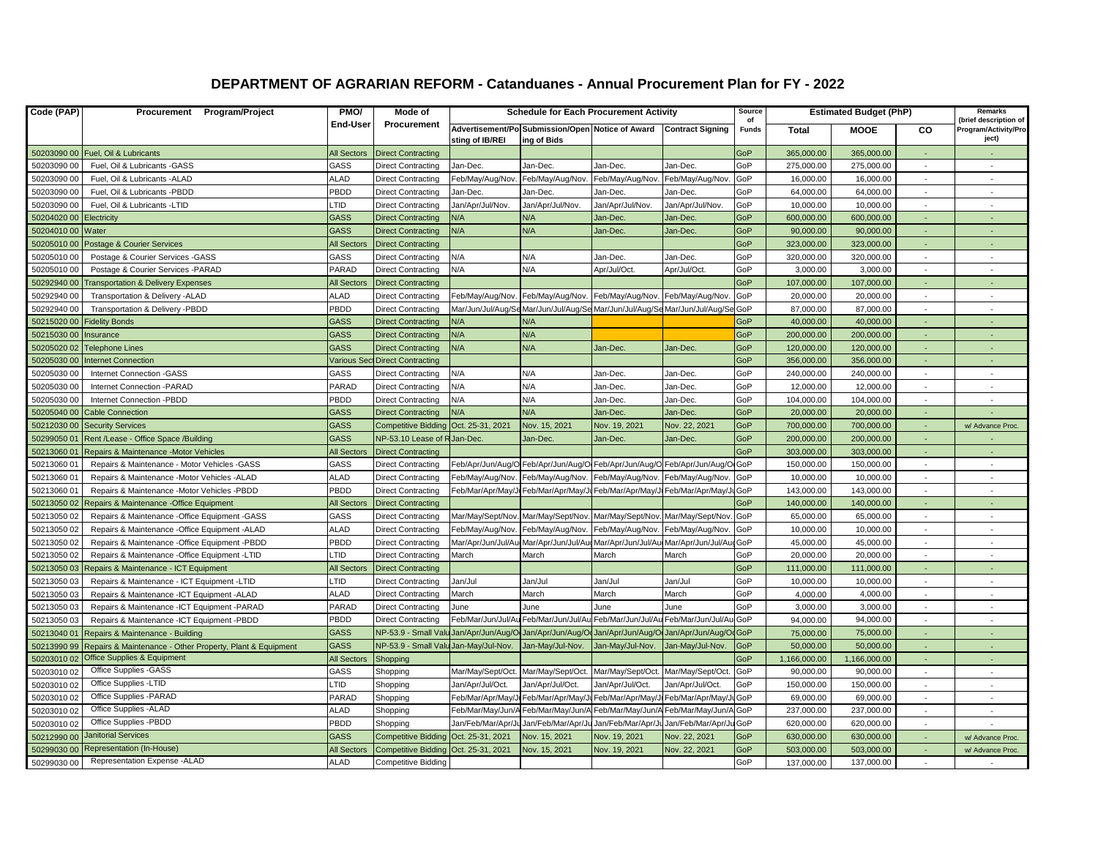## **DEPARTMENT OF AGRARIAN REFORM - Catanduanes - Annual Procurement Plan for FY - 2022**

| Code (PAP)  | Procurement Program/Project                               | PMO/<br>End-User   | <b>Mode of</b><br>Procurement         | <b>Schedule for Each Procurement Activity</b> |                                                                             |                                                           |                         | Source<br>იf | <b>Estimated Budget (PhP)</b> |              |          | Remarks<br>(brief description of |
|-------------|-----------------------------------------------------------|--------------------|---------------------------------------|-----------------------------------------------|-----------------------------------------------------------------------------|-----------------------------------------------------------|-------------------------|--------------|-------------------------------|--------------|----------|----------------------------------|
|             |                                                           |                    |                                       | sting of IB/REI                               | Advertisement/Po Submission/Open Notice of Award<br>ing of Bids             |                                                           | <b>Contract Signing</b> | <b>Funds</b> | <b>Total</b>                  | <b>MOOE</b>  | CO       | Program/Activity/Pro<br>ject)    |
|             | 50203090 00 Fuel, Oil & Lubricants                        | <b>All Sectors</b> | <b>Direct Contracting</b>             |                                               |                                                                             |                                                           |                         | GoP          | 365,000.00                    | 365,000.00   | $\sim$   |                                  |
| 50203090 00 | Fuel, Oil & Lubricants -GASS                              | GASS               | <b>Direct Contracting</b>             | Jan-Dec.                                      | Jan-Dec.                                                                    | Jan-Dec.                                                  | Jan-Dec.                | GoP          | 275,000.00                    | 275,000.00   | $\sim$   | $\sim$                           |
| 50203090 00 | Fuel, Oil & Lubricants -ALAD                              | ALAD               | <b>Direct Contracting</b>             | Feb/May/Aug/Nov                               | Feb/May/Aug/Nov.                                                            | Feb/May/Aug/Nov.                                          | Feb/May/Aug/Nov         | GoP          | 16,000.00                     | 16,000.00    | $\sim$   | $\sim$                           |
| 50203090 00 | Fuel, Oil & Lubricants -PBDD                              | PBDD               | <b>Direct Contracting</b>             | Jan-Dec.                                      | Jan-Dec.                                                                    | Jan-Dec.                                                  | Jan-Dec.                | GoP          | 64,000.00                     | 64,000.00    | $\sim$   | $\sim$                           |
| 50203090 00 | Fuel, Oil & Lubricants -LTID                              | <b>TID</b>         | <b>Direct Contracting</b>             | Jan/Apr/Jul/Nov.                              | Jan/Apr/Jul/Nov.                                                            | Jan/Apr/Jul/Nov.                                          | Jan/Apr/Jul/Nov.        | GoP          | 10,000.00                     | 10,000.00    | $\sim$   | $\sim$                           |
| 50204020 00 | Electricity                                               | <b>GASS</b>        | <b>Direct Contracting</b>             | N/A                                           | N/A                                                                         | Jan-Dec.                                                  | Jan-Dec.                | GoP          | 600,000.00                    | 600,000.00   |          |                                  |
| 50204010 00 | Water                                                     | GASS               | <b>Direct Contracting</b>             | N/A                                           | N/A                                                                         | Jan-Dec.                                                  | Jan-Dec.                | GoP          | 90,000.00                     | 90,000.00    |          |                                  |
| 50205010 00 | Postage & Courier Services                                | All Sectors        | <b>Direct Contracting</b>             |                                               |                                                                             |                                                           |                         | GoP          | 323,000.00                    | 323,000.00   |          |                                  |
| 50205010 00 | Postage & Courier Services - GASS                         | GASS               | <b>Direct Contracting</b>             | N/A                                           | N/A                                                                         | Jan-Dec.                                                  | Jan-Dec.                | GoP          | 320,000.00                    | 320,000.00   | $\sim$   |                                  |
| 50205010 00 | Postage & Courier Services - PARAD                        | PARAD              | <b>Direct Contracting</b>             | N/A                                           | N/A                                                                         | Apr/Jul/Oct.                                              | Apr/Jul/Oct             | GoP          | 3,000.00                      | 3,000.00     | $\sim$   | $\sim$                           |
| 50292940 00 | <b>Transportation &amp; Delivery Expenses</b>             | All Sectors        | <b>Direct Contracting</b>             |                                               |                                                                             |                                                           |                         | GoP          | 107,000.00                    | 107,000.00   | ÷.       |                                  |
| 50292940 00 | Transportation & Delivery -ALAD                           | ALAD               | <b>Direct Contracting</b>             | Feb/May/Aug/Nov                               | Feb/May/Aug/Nov.                                                            | Feb/May/Aug/Nov.                                          | Feb/May/Aug/Nov         | GoP          | 20,000.00                     | 20,000.00    | $\sim$   | $\sim$                           |
| 50292940 00 | Transportation & Delivery -PBDD                           | PBDD               | <b>Direct Contracting</b>             |                                               | Mar/Jun/Jul/Aug/SeMar/Jun/Jul/Aug/SeMar/Jun/Jul/Aug/SeMar/Jun/Jul/Aug/SeGoP |                                                           |                         |              | 87,000.00                     | 87,000.00    | $\sim$   |                                  |
| 50215020 00 | <b>Fidelity Bonds</b>                                     | <b>GASS</b>        | <b>Direct Contracting</b>             | N/A                                           | N/A                                                                         |                                                           |                         | GoP          | 40,000.00                     | 40,000.00    | $\sim$   |                                  |
| 50215030 00 | Insurance                                                 | GASS               | <b>Direct Contracting</b>             | N/A                                           | N/A                                                                         |                                                           |                         | GoP          | 200,000.00                    | 200,000.00   |          |                                  |
| 50205020 02 | <b>Telephone Lines</b>                                    | GASS               | <b>Direct Contracting</b>             | N/A                                           | N/A                                                                         | Jan-Dec.                                                  | Jan-Dec.                | GoP          | 120,000.00                    | 120,000.00   | $\sim$   | $\sim$                           |
| 50205030 00 | <b>Internet Connection</b>                                |                    | Various Sect Direct Contracting       |                                               |                                                                             |                                                           |                         | GoP          | 356,000.00                    | 356,000.00   | $\sim$   |                                  |
| 50205030 00 | Internet Connection -GASS                                 | GASS               | <b>Direct Contracting</b>             | N/A                                           | N/A                                                                         | Jan-Dec                                                   | Jan-Dec.                | GoP          | 240,000.00                    | 240,000.00   | $\sim$   | $\sim$                           |
| 50205030 00 | Internet Connection - PARAD                               | PARAD              | <b>Direct Contracting</b>             | N/A                                           | N/A                                                                         | Jan-Dec.                                                  | Jan-Dec.                | GoP          | 12,000.00                     | 12,000.00    |          |                                  |
| 50205030 00 | Internet Connection -PBDD                                 | PBDD               | <b>Direct Contracting</b>             | N/A                                           | N/A                                                                         | Jan-Dec.                                                  | Jan-Dec.                | GoP          | 104,000.00                    | 104,000.00   | $\sim$   |                                  |
| 50205040 00 | <b>Cable Connection</b>                                   | GASS               | <b>Direct Contracting</b>             | N/A                                           | N/A                                                                         | Jan-Dec.                                                  | Jan-Dec.                | GoP          | 20,000.00                     | 20,000.00    | ÷.       |                                  |
| 50212030 00 | <b>Security Services</b>                                  | <b>GASS</b>        | <b>Competitive Bidding</b>            | Oct. 25-31, 2021                              | Nov. 15, 2021                                                               | Nov. 19, 2021                                             | Nov. 22, 2021           | GoP          | 700,000.00                    | 700,000.00   | $\sim$   | w/ Advance Proc.                 |
| 50299050 01 | Rent /Lease - Office Space /Building                      | <b>GASS</b>        | NP-53.10 Lease of RJan-Dec.           |                                               | Jan-Dec.                                                                    | Jan-Dec.                                                  | Jan-Dec.                | GoP          | 200,000.00                    | 200,000.00   | $\sim$   |                                  |
| 50213060 01 | Repairs & Maintenance - Motor Vehicles                    | <b>All Sectors</b> | <b>Direct Contracting</b>             |                                               |                                                                             |                                                           |                         | GoP          | 303,000.00                    | 303,000.00   |          |                                  |
| 50213060 01 | Repairs & Maintenance - Motor Vehicles - GASS             | GASS               | <b>Direct Contracting</b>             |                                               | Feb/Apr/Jun/Aug/O Feb/Apr/Jun/Aug/O Feb/Apr/Jun/Aug/O Feb/Apr/Jun/Aug/O GoP |                                                           |                         |              | 150,000.00                    | 150,000.00   | $\sim$   | $\sim$                           |
| 50213060 01 | Repairs & Maintenance -Motor Vehicles -ALAD               | ALAD               | <b>Direct Contracting</b>             | Feb/May/Aug/Nov                               | Feb/May/Aug/Nov.                                                            | Feb/May/Aug/Nov.                                          | Feb/May/Aug/Nov         | GoP          | 10,000.00                     | 10,000.00    | $\sim$   | $\sim$                           |
| 50213060 01 | Repairs & Maintenance -Motor Vehicles -PBDD               | PBDD               | <b>Direct Contracting</b>             |                                               | Feb/Mar/Apr/May/Jr Feb/Mar/Apr/May/Jr Feb/Mar/Apr/May/J                     |                                                           | Feb/Mar/Apr/May/JuGoP   |              | 143,000.00                    | 143,000.00   | $\sim$   | $\sim$                           |
| 50213050 02 | Repairs & Maintenance - Office Equipment                  | All Sectors        | <b>Direct Contracting</b>             |                                               |                                                                             |                                                           |                         | GoP          | 140,000.00                    | 140,000.00   |          |                                  |
| 50213050 02 | Repairs & Maintenance -Office Equipment -GASS             | GASS               | <b>Direct Contracting</b>             | Mar/May/Sept/Nov                              | Mar/May/Sept/Nov                                                            | Mar/May/Sept/Nov                                          | Mar/May/Sept/Nov        | GoP          | 65,000.00                     | 65,000.00    |          |                                  |
| 50213050 02 | Repairs & Maintenance -Office Equipment -ALAD             | ALAD               | <b>Direct Contracting</b>             | Feb/May/Aug/Nov                               | Feb/May/Aug/Nov.                                                            | Feb/May/Aug/Nov.                                          | Feb/May/Aug/Nov         | GoP          | 10,000.00                     | 10,000.00    | $\sim$   |                                  |
| 50213050 02 | Repairs & Maintenance -Office Equipment -PBDD             | PBDD               | <b>Direct Contracting</b>             | Mar/Apr/Jun/Jul/Au                            | Mar/Apr/Jun/Jul/Au                                                          | Mar/Apr/Jun/Jul/Au                                        | Mar/Apr/Jun/Jul/AugGoP  |              | 45,000.00                     | 45,000.00    | $\sim$   | $\sim$                           |
| 50213050 02 | Repairs & Maintenance -Office Equipment -LTID             | LTID               | <b>Direct Contracting</b>             | March                                         | March                                                                       | March                                                     | March                   | GoP          | 20,000.00                     | 20,000.00    | $\sim$   | $\sim$                           |
| 50213050 03 | Repairs & Maintenance - ICT Equipment                     | <b>All Sectors</b> | <b>Direct Contracting</b>             |                                               |                                                                             |                                                           |                         | GoP          | 111,000.00                    | 111,000.00   | $\sim$   |                                  |
| 50213050 03 | Repairs & Maintenance - ICT Equipment -LTID               | LTID               | <b>Direct Contracting</b>             | Jan/Jul                                       | Jan/Jul                                                                     | Jan/Jul                                                   | Jan/Jul                 | GoP          | 10,000.00                     | 10,000.00    | $\sim$   | $\sim$                           |
| 50213050 03 | Repairs & Maintenance - ICT Equipment - ALAD              | ALAD               | <b>Direct Contracting</b>             | March                                         | March                                                                       | March                                                     | March                   | GoP          | 4,000.00                      | 4,000.00     | $\sim$   |                                  |
| 50213050 03 | Repairs & Maintenance - ICT Equipment - PARAD             | PARAD              | <b>Direct Contracting</b>             | June                                          | June                                                                        | June                                                      | June                    | GoP          | 3,000.00                      | 3,000.00     | $\sim$   | $\sim$                           |
| 50213050 03 | Repairs & Maintenance - ICT Equipment - PBDD              | PBDD               | <b>Direct Contracting</b>             |                                               | Feb/Mar/Jun/Jul/Au Feb/Mar/Jun/Jul/Au                                       | Feb/Mar/Jun/Jul/A                                         | Feb/Mar/Jun/Jul/A       | GoP          | 94,000.00                     | 94,000.00    | $\sim$   | $\sim$                           |
| 50213040 01 | Repairs & Maintenance - Building                          | <b>GASS</b>        | NP-53.9 - Small Val                   | Jan/Apr/Jun/Aug/Or                            |                                                                             | Jan/Apr/Jun/Aug/OrJan/Apr/Jun/Aug/OrJan/Apr/Jun/Aug/OrGoP |                         |              | 75,000.00                     | 75,000.00    | $\sim$   | $\sim$                           |
| 50213990 99 | Repairs & Maintenance - Other Property, Plant & Equipment | <b>GASS</b>        | NP-53.9 - Small Valu Jan-May/Jul-Nov. |                                               | Jan-May/Jul-Nov.                                                            | Jan-May/Jul-Nov.                                          | Jan-May/Jul-Nov.        | GoP          | 50,000.00                     | 50,000.00    |          |                                  |
| 50203010 02 | Office Supplies & Equipment                               | <b>All Sectors</b> | Shopping                              |                                               |                                                                             |                                                           |                         | GoP          | 1,166,000.00                  | 1,166,000.00 |          |                                  |
| 50203010 02 | Office Supplies - GASS                                    | GASS               | Shopping                              | Mar/May/Sept/Oct                              | Mar/May/Sept/Oct.                                                           | Mar/May/Sept/Oct.                                         | Mar/May/Sept/Oct        | GoP          | 90,000.00                     | 90,000.00    |          |                                  |
| 50203010 02 | Office Supplies -LTID                                     | LTID               | Shopping                              | Jan/Apr/Jul/Oct.                              | Jan/Apr/Jul/Oct.                                                            | Jan/Apr/Jul/Oct.                                          | Jan/Apr/Jul/Oct.        | GoP          | 150,000.00                    | 150,000.00   |          |                                  |
| 50203010 02 | Office Supplies - PARAD                                   | PARAD              | Shopping                              | Feb/Mar/Apr/May/                              | Feb/Mar/Apr/May/Ju Feb/Mar/Apr/May/                                         |                                                           | Feb/Mar/Apr/May/、       | GoP          | 69,000.00                     | 69,000.00    | $\sim$   | $\sim$                           |
| 50203010 02 | Office Supplies - ALAD                                    | <b>ALAD</b>        | Shopping                              | Feb/Mar/May/Jun/A                             |                                                                             | Feb/Mar/May/Jun/A Feb/Mar/May/Jun/A                       | Feb/Mar/May/Jun/A GoP   |              | 237,000.00                    | 237,000.00   | $\sim$   | $\sim$                           |
| 50203010 02 | Office Supplies -PBDD                                     | PBDD               | Shopping                              | Jan/Feb/Mar/Apr/J                             |                                                                             | Jan/Feb/Mar/Apr/Ju Jan/Feb/Mar/Apr/J                      | Jan/Feb/Mar/Apr/Ju GoP  |              | 620,000.00                    | 620,000.00   | $\sim$   |                                  |
| 50212990 00 | <b>Janitorial Services</b>                                | <b>GASS</b>        | <b>Competitive Bidding</b>            | Oct. 25-31, 2021                              | Nov. 15, 2021                                                               | Nov. 19, 2021                                             | Nov. 22, 2021           | GoP          | 630,000.00                    | 630,000.00   |          | w/ Advance Proc.                 |
| 50299030 00 | Representation (In-House)                                 | <b>All Sectors</b> | Competitive Bidding Oct. 25-31, 2021  |                                               | Vov. 15, 2021                                                               | Nov. 19, 2021                                             | Nov. 22, 2021           | GoP          | 503,000.00                    | 503,000.00   | $\omega$ | w/ Advance Proc.                 |
| 50299030 00 | Representation Expense -ALAD                              | ALAD               | <b>Competitive Bidding</b>            |                                               |                                                                             |                                                           |                         | GoP          | 137,000.00                    | 137,000.00   | $\sim$   |                                  |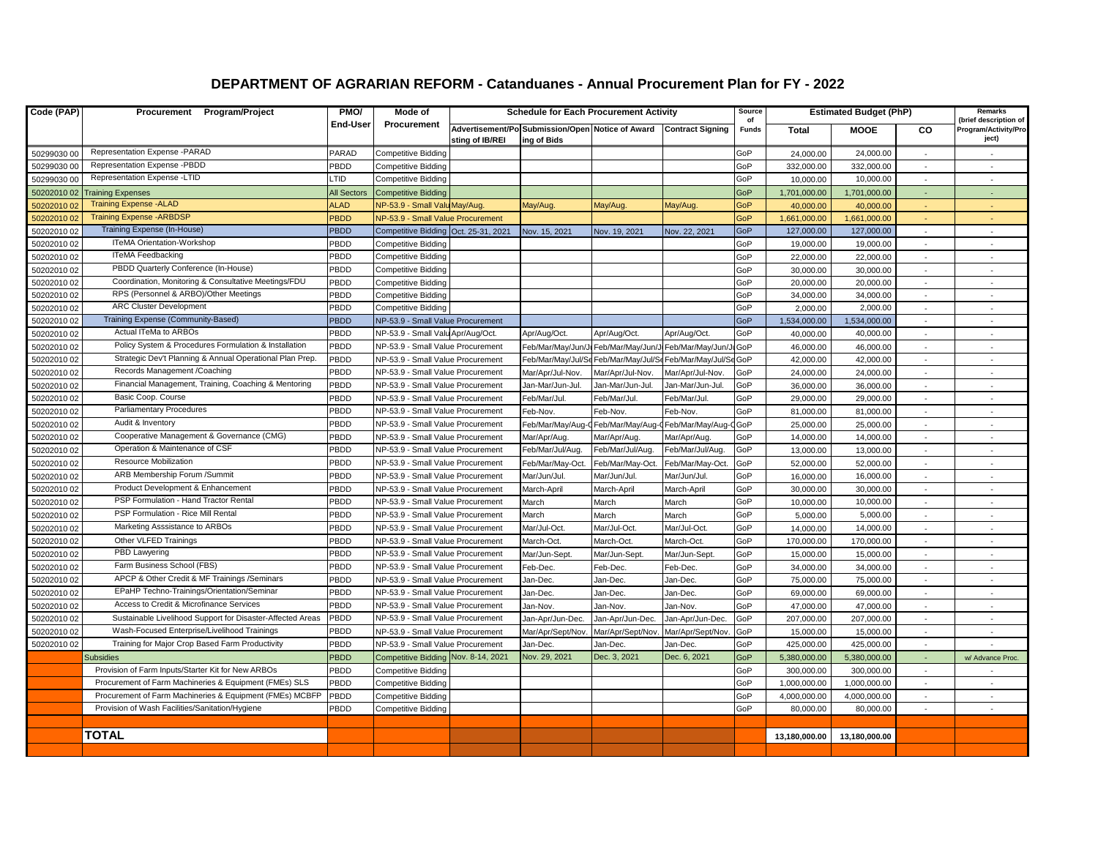## **DEPARTMENT OF AGRARIAN REFORM - Catanduanes - Annual Procurement Plan for FY - 2022**

| Code (PAP)  | Procurement Program/Project                                | PMO/               | Mode of                              | <b>Schedule for Each Procurement Activity</b> |                                                                 |                   |                         | Source<br>of | <b>Estimated Budget (PhP)</b> |               |          | Remarks<br>(brief description of |
|-------------|------------------------------------------------------------|--------------------|--------------------------------------|-----------------------------------------------|-----------------------------------------------------------------|-------------------|-------------------------|--------------|-------------------------------|---------------|----------|----------------------------------|
|             |                                                            | End-User           | Procurement                          | sting of IB/REI                               | Advertisement/Po Submission/Open Notice of Award<br>ing of Bids |                   | <b>Contract Signing</b> | <b>Funds</b> | <b>Total</b>                  | <b>MOOE</b>   | CO       | Program/Activity/Pro<br>ject)    |
| 50299030 00 | Representation Expense -PARAD                              | PARAD              | Competitive Bidding                  |                                               |                                                                 |                   |                         | GoP          | 24.000.00                     | 24,000.00     |          |                                  |
| 50299030 00 | Representation Expense -PBDD                               | PBDD               | <b>Competitive Bidding</b>           |                                               |                                                                 |                   |                         | GoP          | 332,000.00                    | 332,000.00    |          |                                  |
| 50299030 00 | Representation Expense -LTID                               | TID <sub>-</sub>   | <b>Competitive Bidding</b>           |                                               |                                                                 |                   |                         | GoP          | 10,000.00                     | 10,000.00     |          |                                  |
| 50202010 02 | <b>Training Expenses</b>                                   | <b>All Sectors</b> | <b>Competitive Bidding</b>           |                                               |                                                                 |                   |                         | GoP          | 1,701,000.00                  | 1,701,000.00  |          |                                  |
| 50202010 02 | <b>Training Expense -ALAD</b>                              | <b>ALAD</b>        | NP-53.9 - Small Valu May/Aug         |                                               | May/Aug.                                                        | May/Aug.          | May/Aug.                | GoP          | 40,000.00                     | 40,000.00     |          |                                  |
| 50202010 02 | <b>Training Expense - ARBDSP</b>                           | PBDD               | NP-53.9 - Small Value Procurement    |                                               |                                                                 |                   |                         | GoP          | 1,661,000.00                  | 1,661,000.00  |          |                                  |
| 50202010 02 | Training Expense (In-House)                                | <b>PBDD</b>        | Competitive Bidding Oct. 25-31, 2021 |                                               | Nov. 15, 2021                                                   | Nov. 19, 2021     | Nov. 22, 2021           | GoP          | 127,000.00                    | 127,000.00    |          |                                  |
| 50202010 02 | ITeMA Orientation-Workshop                                 | PBDD               | <b>Competitive Bidding</b>           |                                               |                                                                 |                   |                         | GoP          | 19,000.00                     | 19,000.00     |          |                                  |
| 50202010 02 | <b>ITeMA Feedbacking</b>                                   | PBDD               | <b>Competitive Bidding</b>           |                                               |                                                                 |                   |                         | GoP          | 22,000.00                     | 22,000.00     | $\omega$ | $\sim$                           |
| 50202010 02 | PBDD Quarterly Conference (In-House)                       | PBDD               | <b>Competitive Bidding</b>           |                                               |                                                                 |                   |                         | GoP          | 30,000.00                     | 30,000.00     | $\sim$   |                                  |
| 50202010 02 | Coordination, Monitoring & Consultative Meetings/FDU       | PBDD               | Competitive Bidding                  |                                               |                                                                 |                   |                         | GoP          | 20,000.00                     | 20,000.00     | $\sim$   | $\sim$                           |
| 50202010 02 | RPS (Personnel & ARBO)/Other Meetings                      | PBDD               | Competitive Bidding                  |                                               |                                                                 |                   |                         | GoP          | 34,000.00                     | 34,000.00     | $\sim$   | $\sim$                           |
| 50202010 02 | <b>ARC Cluster Development</b>                             | PBDD               | <b>Competitive Bidding</b>           |                                               |                                                                 |                   |                         | GoP          | 2,000.00                      | 2,000.00      | $\sim$   | $\sim$                           |
| 50202010 02 | Training Expense (Community-Based)                         | <b>PBDD</b>        | NP-53.9 - Small Value Procurement    |                                               |                                                                 |                   |                         | GoP          | 1,534,000.00                  | 1,534,000.00  | $\sim$   |                                  |
| 50202010 02 | Actual ITeMa to ARBOs                                      | PBDD               | NP-53.9 - Small Valu Apr/Aug/Oct.    |                                               | Apr/Aug/Oct.                                                    | Apr/Aug/Oct.      | Apr/Aug/Oct.            | GoP          | 40,000.00                     | 40,000.00     | $\sim$   | $\sim$                           |
| 50202010 02 | Policy System & Procedures Formulation & Installation      | PBDD               | NP-53.9 - Small Value Procurement    |                                               | Feb/Mar/May/Jun/J                                               | Feb/Mar/May/Jun/、 | Feb/Mar/May/Jun/、       | <b>JIGOP</b> | 46,000.00                     | 46,000.00     | $\sim$   |                                  |
| 50202010 02 | Strategic Dev't Planning & Annual Operational Plan Prep.   | PBDD               | NP-53.9 - Small Value Procurement    |                                               | Feb/Mar/May/Jul/Se                                              | Feb/Mar/May/Jul/S | Feb/Mar/May/Jul/SeGoP   |              | 42,000.00                     | 42,000.00     | $\sim$   | $\sim$                           |
| 50202010 02 | Records Management /Coaching                               | PBDD               | NP-53.9 - Small Value Procurement    |                                               | Mar/Apr/Jul-Nov.                                                | Mar/Apr/Jul-Nov.  | Mar/Apr/Jul-Nov.        | GoP          | 24,000.00                     | 24,000.00     | $\sim$   |                                  |
| 50202010 02 | Financial Management, Training, Coaching & Mentoring       | PBDD               | NP-53.9 - Small Value Procurement    |                                               | Jan-Mar/Jun-Jul.                                                | Jan-Mar/Jun-Jul.  | Jan-Mar/Jun-Jul.        | GoP          | 36,000.00                     | 36,000.00     | $\sim$   | $\sim$                           |
| 50202010 02 | Basic Coop. Course                                         | PBDD               | NP-53.9 - Small Value Procurement    |                                               | Feb/Mar/Jul.                                                    | Feb/Mar/Jul.      | Feb/Mar/Jul.            | GoP          | 29,000.00                     | 29,000.00     | $\sim$   |                                  |
| 50202010 02 | <b>Parliamentary Procedures</b>                            | PBDD               | NP-53.9 - Small Value Procurement    |                                               | Feb-Nov.                                                        | Feb-Nov.          | Feb-Nov.                | GoP          | 81,000.00                     | 81,000.00     | $\sim$   | $\sim$                           |
| 50202010 02 | Audit & Inventory                                          | PBDD               | NP-53.9 - Small Value Procurement    |                                               | Feb/Mar/May/Aug-0                                               | Feb/Mar/May/Aug-  | Feb/Mar/May/Aug-CGoP    |              | 25,000.00                     | 25,000.00     | in a     |                                  |
| 50202010 02 | Cooperative Management & Governance (CMG)                  | PBDD               | NP-53.9 - Small Value Procurement    |                                               | Mar/Apr/Aug.                                                    | Mar/Apr/Aug.      | Mar/Apr/Aug.            | GoP          | 14,000.00                     | 14,000.00     | $\sim$   | $\sim$                           |
| 50202010 02 | Operation & Maintenance of CSF                             | PBDD               | NP-53.9 - Small Value Procurement    |                                               | Feb/Mar/Jul/Aug.                                                | Feb/Mar/Jul/Aug.  | Feb/Mar/Jul/Aug.        | GoP          | 13,000.00                     | 13,000.00     | $\sim$   | $\sim$                           |
| 50202010 02 | Resource Mobilization                                      | PBDD               | NP-53.9 - Small Value Procurement    |                                               | Feb/Mar/May-Oct.                                                | Feb/Mar/May-Oct.  | Feb/Mar/May-Oct.        | GoP          | 52,000.00                     | 52,000.00     | $\sim$   | $\sim$                           |
| 50202010 02 | ARB Membership Forum /Summit                               | PBDD               | NP-53.9 - Small Value Procurement    |                                               | Mar/Jun/Jul                                                     | Mar/Jun/Jul.      | Mar/Jun/Jul.            | GoP          | 16,000.00                     | 16,000,00     |          |                                  |
| 50202010 02 | Product Development & Enhancement                          | PBDD               | NP-53.9 - Small Value Procurement    |                                               | March-April                                                     | March-April       | March-April             | GoP          | 30,000.00                     | 30,000.00     | $\sim$   | $\sim$                           |
| 50202010 02 | PSP Formulation - Hand Tractor Rental                      | PBDD               | NP-53.9 - Small Value Procurement    |                                               | March                                                           | March             | March                   | GoP          | 10,000.00                     | 10.000.00     |          |                                  |
| 50202010 02 | PSP Formulation - Rice Mill Rental                         | PBDD               | NP-53.9 - Small Value Procurement    |                                               | March                                                           | March             | March                   | GoP          | 5,000.00                      | 5,000.00      | $\sim$   | $\overline{\phantom{a}}$         |
| 50202010 02 | Marketing Asssistance to ARBOs                             | PBDD               | NP-53.9 - Small Value Procurement    |                                               | Mar/Jul-Oct                                                     | Mar/Jul-Oct.      | Mar/Jul-Oct.            | GoP          | 14,000.00                     | 14,000.00     |          |                                  |
| 50202010 02 | Other VLFED Trainings                                      | PBDD               | NP-53.9 - Small Value Procurement    |                                               | March-Oct.                                                      | March-Oct         | March-Oct.              | GoP          | 170,000.00                    | 170,000.00    |          |                                  |
| 50202010 02 | PBD Lawyering                                              | PBDD               | NP-53.9 - Small Value Procurement    |                                               | Mar/Jun-Sept                                                    | Mar/Jun-Sept.     | Mar/Jun-Sept.           | GoP          | 15,000.00                     | 15,000.00     |          |                                  |
| 50202010 02 | Farm Business School (FBS)                                 | PBDD               | NP-53.9 - Small Value Procurement    |                                               | Feb-Dec.                                                        | Feb-Dec.          | Feb-Dec                 | GoP          | 34,000.00                     | 34,000.00     |          |                                  |
| 50202010 02 | APCP & Other Credit & MF Trainings /Seminars               | PBDD               | NP-53.9 - Small Value Procurement    |                                               | Jan-Dec.                                                        | Jan-Dec.          | Jan-Dec                 | GoP          | 75,000.00                     | 75,000.00     |          |                                  |
| 50202010 02 | EPaHP Techno-Trainings/Orientation/Seminar                 | PBDD               | NP-53.9 - Small Value Procurement    |                                               | Jan-Dec.                                                        | Jan-Dec.          | Jan-Dec                 | GoP          | 69.000.00                     | 69,000,00     |          |                                  |
| 50202010 02 | Access to Credit & Microfinance Services                   | PBDD               | NP-53.9 - Small Value Procurement    |                                               | Jan-Nov.                                                        | Jan-Nov.          | Jan-Nov.                | GoP          | 47,000.00                     | 47,000.00     | $\sim$   | $\sim$                           |
| 50202010 02 | Sustainable Livelihood Support for Disaster-Affected Areas | PBDD               | NP-53.9 - Small Value Procurement    |                                               | Jan-Apr/Jun-Dec.                                                | Jan-Apr/Jun-Dec.  | Jan-Apr/Jun-Dec.        | GoP          | 207,000.00                    | 207,000.00    | $\sim$   |                                  |
| 50202010 02 | Wash-Focused Enterprise/Livelihood Trainings               | PBDD               | NP-53.9 - Small Value Procurement    |                                               | Mar/Apr/Sept/Nov.                                               | Mar/Apr/Sept/Nov  | Mar/Apr/Sept/Nov        | GoP          | 15,000.00                     | 15,000.00     | $\sim$   | $\sim$                           |
| 50202010 02 | Training for Major Crop Based Farm Productivity            | PBDD               | NP-53.9 - Small Value Procurement    |                                               | Jan-Dec.                                                        | Jan-Dec.          | Jan-Dec.                | GoP          | 425,000.00                    | 425,000.00    | $\sim$   |                                  |
|             | <b>Subsidies</b>                                           | PBDD               | Competitive Bidding Nov. 8-14, 2021  |                                               | Vov. 29, 2021                                                   | Dec. 3, 2021      | Dec. 6, 2021            | GoP          | 5,380,000.00                  | 5,380,000.00  | $\sim$   | w/ Advance Proc.                 |
|             | Provision of Farm Inputs/Starter Kit for New ARBOs         | PBDD               | <b>Competitive Bidding</b>           |                                               |                                                                 |                   |                         | GoP          | 300,000.00                    | 300,000.00    | $\sim$   |                                  |
|             | Procurement of Farm Machineries & Equipment (FMEs) SLS     | PBDD               | <b>Competitive Bidding</b>           |                                               |                                                                 |                   |                         | GoP          | 1,000,000.00                  | 1,000,000.00  | $\sim$   | in 1999.                         |
|             | Procurement of Farm Machineries & Equipment (FMEs) MCBFP   | PBDD               | <b>Competitive Bidding</b>           |                                               |                                                                 |                   |                         | GoP          | 4,000,000.00                  | 4,000,000.00  | $\sim$   | $\sim$                           |
|             | Provision of Wash Facilities/Sanitation/Hygiene            | PBDD               | <b>Competitive Bidding</b>           |                                               |                                                                 |                   |                         | GoP          | 80,000.00                     | 80,000.00     | $\sim$   | $\sim$                           |
|             |                                                            |                    |                                      |                                               |                                                                 |                   |                         |              |                               |               |          |                                  |
|             | TOTAL                                                      |                    |                                      |                                               |                                                                 |                   |                         |              | 13,180,000.00                 | 13,180,000.00 |          |                                  |
|             |                                                            |                    |                                      |                                               |                                                                 |                   |                         |              |                               |               |          |                                  |